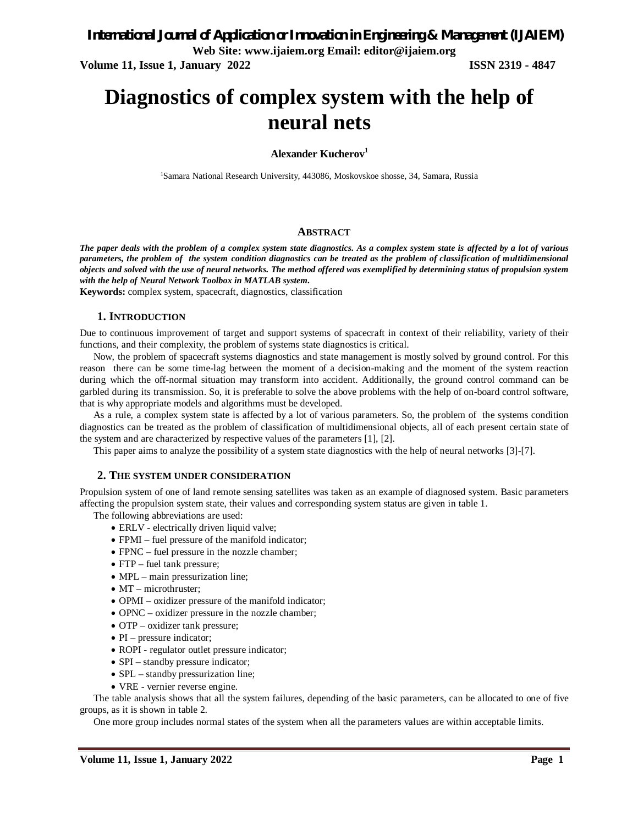**Volume 11, Issue 1, January 2022 ISSN 2319 - 4847**

# **Diagnostics of complex system with the help of neural nets**

**Alexander Kucherov<sup>1</sup>**

1Samara National Research University, 443086, Moskovskoe shosse, 34, Samara, Russia

### **ABSTRACT**

*The paper deals with the problem of a complex system state diagnostics. As a complex system state is affected by a lot of various parameters, the problem of the system condition diagnostics can be treated as the problem of classification of multidimensional objects and solved with the use of neural networks. The method offered was exemplified by determining status of propulsion system with the help of Neural Network Toolbox in MATLAB system.*

**Keywords:** complex system, spacecraft, diagnostics, classification

### **1. INTRODUCTION**

Due to continuous improvement of target and support systems of spacecraft in context of their reliability, variety of their functions, and their complexity, the problem of systems state diagnostics is critical.

Now, the problem of spacecraft systems diagnostics and state management is mostly solved by ground control. For this reason there can be some time-lag between the moment of a decision-making and the moment of the system reaction during which the off-normal situation may transform into accident. Additionally, the ground control command can be garbled during its transmission. So, it is preferable to solve the above problems with the help of on-board control software, that is why appropriate models and algorithms must be developed.

As a rule, a complex system state is affected by a lot of various parameters. So, the problem of the systems condition diagnostics can be treated as the problem of classification of multidimensional objects, all of each present certain state of the system and are characterized by respective values of the parameters [1], [2].

This paper aims to analyze the possibility of a system state diagnostics with the help of neural networks [3]-[7].

### **2. THE SYSTEM UNDER CONSIDERATION**

Propulsion system of one of land remote sensing satellites was taken as an example of diagnosed system. Basic parameters affecting the propulsion system state, their values and corresponding system status are given in table 1.

The following abbreviations are used:

- ERLV electrically driven liquid valve;
- FPMI fuel pressure of the manifold indicator;
- FPNC fuel pressure in the nozzle chamber;
- FTP fuel tank pressure;
- MPL main pressurization line;
- $\bullet$  MT microthruster;
- OPMI oxidizer pressure of the manifold indicator;
- OPNC oxidizer pressure in the nozzle chamber;
- OTP oxidizer tank pressure;
- $\bullet$  PI pressure indicator;
- ROPI regulator outlet pressure indicator;
- SPI standby pressure indicator;
- SPL standby pressurization line;
- VRE vernier reverse engine.

The table analysis shows that all the system failures, depending of the basic parameters, can be allocated to one of five groups, as it is shown in table 2.

One more group includes normal states of the system when all the parameters values are within acceptable limits.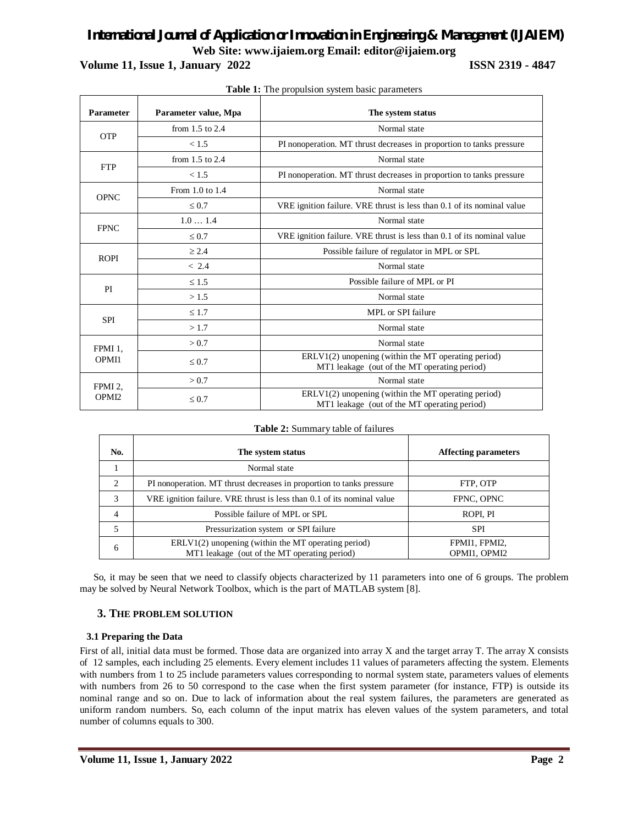## *International Journal of Application or Innovation in Engineering & Management (IJAIEM)* **Web Site: www.ijaiem.org Email: editor@ijaiem.org**

**Volume 11, Issue 1, January 2022 ISSN 2319 - 4847**

| <b>Parameter</b>                         | Parameter value, Mpa | The system status                                                                                   |
|------------------------------------------|----------------------|-----------------------------------------------------------------------------------------------------|
|                                          | from $1.5$ to $2.4$  | Normal state                                                                                        |
| <b>OTP</b>                               | < 1.5                | PI nonoperation. MT thrust decreases in proportion to tanks pressure                                |
| <b>FTP</b>                               | from $1.5$ to $2.4$  | Normal state                                                                                        |
|                                          | < 1.5                | PI nonoperation. MT thrust decreases in proportion to tanks pressure                                |
| <b>OPNC</b>                              | From 1.0 to 1.4      | Normal state                                                                                        |
|                                          | $\leq 0.7$           | VRE ignition failure. VRE thrust is less than 0.1 of its nominal value                              |
| <b>FPNC</b>                              | 1.01.4               | Normal state                                                                                        |
|                                          | $\leq 0.7$           | VRE ignition failure. VRE thrust is less than 0.1 of its nominal value                              |
| <b>ROPI</b>                              | > 2.4                | Possible failure of regulator in MPL or SPL                                                         |
|                                          | < 2.4                | Normal state                                                                                        |
| PI                                       | $\leq 1.5$           | Possible failure of MPL or PI                                                                       |
|                                          | >1.5                 | Normal state                                                                                        |
|                                          | $\leq 1.7$           | MPL or SPI failure                                                                                  |
| <b>SPI</b>                               | >1.7                 | Normal state                                                                                        |
| FPMI 1.                                  | > 0.7                | Normal state                                                                                        |
| OPMI1                                    | $\leq 0.7$           | ERLV1(2) unopening (within the MT operating period)<br>MT1 leakage (out of the MT operating period) |
| FPMI <sub>2</sub> .<br>OPMI <sub>2</sub> | > 0.7                | Normal state                                                                                        |
|                                          | $\leq 0.7$           | ERLV1(2) unopening (within the MT operating period)<br>MT1 leakage (out of the MT operating period) |

| Table 1: The propulsion system basic parameters |  |  |  |  |
|-------------------------------------------------|--|--|--|--|
|-------------------------------------------------|--|--|--|--|

| No.                           | The system status                                                      | <b>Affecting parameters</b> |
|-------------------------------|------------------------------------------------------------------------|-----------------------------|
|                               | Normal state                                                           |                             |
| $\mathfrak{D}_{\mathfrak{p}}$ | PI nonoperation. MT thrust decreases in proportion to tanks pressure   | FTP, OTP                    |
| 3                             | VRE ignition failure. VRE thrust is less than 0.1 of its nominal value | FPNC, OPNC                  |
| 4                             | Possible failure of MPL or SPL                                         | ROPI, PI                    |
| 5                             | Pressurization system or SPI failure                                   | <b>SPI</b>                  |
| 6                             | $ERLV1(2)$ unopening (within the MT operating period)                  | FPMI1, FPMI2,               |
|                               | MT1 leakage (out of the MT operating period)                           | OPMI1. OPMI2                |

### **Table 2:** Summary table of failures

So, it may be seen that we need to classify objects characterized by 11 parameters into one of 6 groups. The problem may be solved by Neural Network Toolbox, which is the part of MATLAB system [8].

### **3. THE PROBLEM SOLUTION**

### **3.1 Preparing the Data**

First of all, initial data must be formed. Those data are organized into array X and the target array T. The array X consists of 12 samples, each including 25 elements. Every element includes 11 values of parameters affecting the system. Elements with numbers from 1 to 25 include parameters values corresponding to normal system state, parameters values of elements with numbers from 26 to 50 correspond to the case when the first system parameter (for instance, FTP) is outside its nominal range and so on. Due to lack of information about the real system failures, the parameters are generated as uniform random numbers. So, each column of the input matrix has eleven values of the system parameters, and total number of columns equals to 300.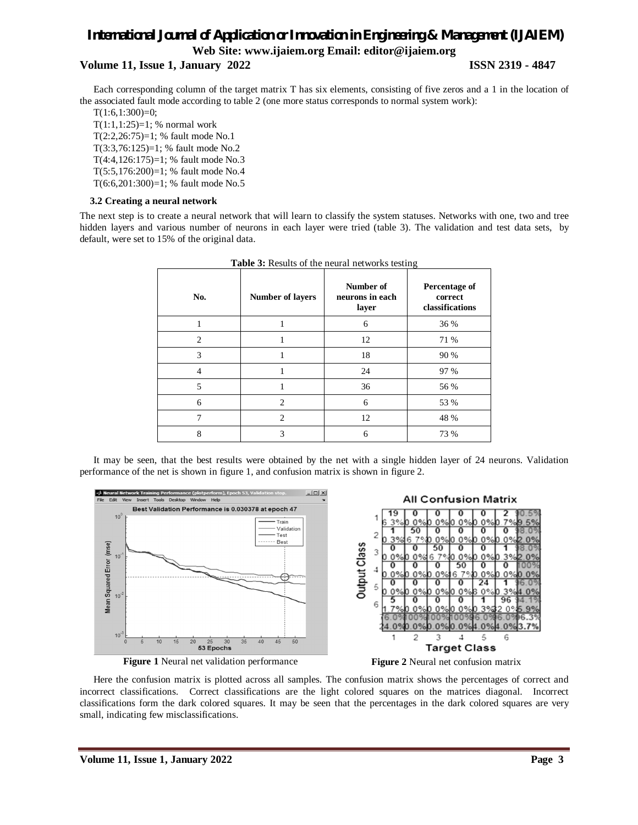### *International Journal of Application or Innovation in Engineering & Management (IJAIEM)* **Web Site: www.ijaiem.org Email: editor@ijaiem.org**

### **Volume 11, Issue 1, January 2022 ISSN 2319 - 4847**

Each corresponding column of the target matrix T has six elements, consisting of five zeros and a 1 in the location of the associated fault mode according to table 2 (one more status corresponds to normal system work):

 $T(1:6,1:300)=0;$ 

T(1:1,1:25)=1; % normal work T(2:2,26:75)=1; % fault mode No.1 T(3:3,76:125)=1; % fault mode No.2 T(4:4,126:175)=1; % fault mode No.3 T(5:5,176:200)=1; % fault mode No.4 T(6:6,201:300)=1; % fault mode No.5

### **3.2 Creating a neural network**

The next step is to create a neural network that will learn to classify the system statuses. Networks with one, two and tree hidden layers and various number of neurons in each layer were tried (table 3). The validation and test data sets, by default, were set to 15% of the original data.

| No.            | <b>Number of layers</b> | Number of<br>neurons in each<br>layer | Percentage of<br>correct<br>classifications |
|----------------|-------------------------|---------------------------------------|---------------------------------------------|
|                |                         | 6                                     | 36 %                                        |
| $\overline{c}$ |                         | 12                                    | 71 %                                        |
| 3              |                         | 18                                    | 90 %                                        |
| 4              |                         | 24                                    | 97 %                                        |
| 5              |                         | 36                                    | 56 %                                        |
| 6              | 2                       | 6                                     | 53 %                                        |
| 7              | $\mathfrak{D}$          | 12                                    | 48 %                                        |
| 8              | 3                       | 6                                     | 73 %                                        |

**Table 3:** Results of the neural networks testing

It may be seen, that the best results were obtained by the net with a single hidden layer of 24 neurons. Validation performance of the net is shown in figure 1, and confusion matrix is shown in figure 2.



**Figure 1** Neural net validation performance **Figure 2** Neural net confusion matrix



Here the confusion matrix is plotted across all samples. The confusion matrix shows the percentages of correct and incorrect classifications. Correct classifications are the light colored squares on the matrices diagonal. Incorrect classifications form the dark colored squares. It may be seen that the percentages in the dark colored squares are very small, indicating few misclassifications.